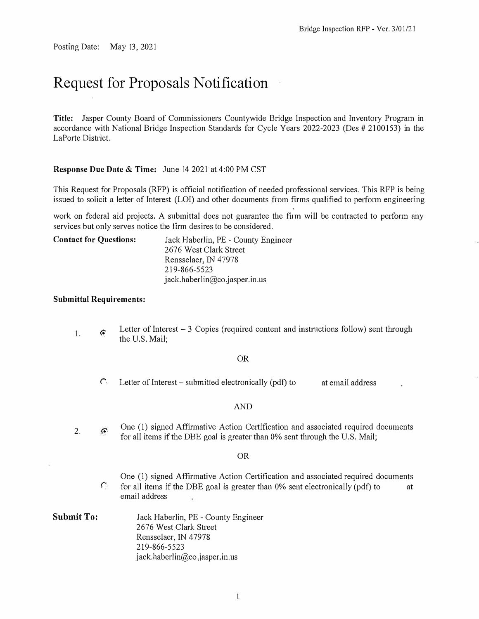Posting Date: May 13, 2021

# **Request for Proposals Notification**

**Title:** Jasper County Board of Commissioners Countywide Bridge Inspection and Inventory Program in accordance with National Bridge Inspection Standards for Cycle Years 2022-2023 (Des # 2100153) in the LaPorte District.

#### **Response Due Date & Time:** June 14 2021 at 4:00 PM CST

This Request for Proposals (RFP) is official notification of needed professional services. This RFP is being issued to solicit a letter of Interest (LOI) and other documents from firms qualified to perform engineering

r

work on federal aid projects. A submittal does not guarantee the firm will be contracted to perform any services but only serves notice the firm desires to be considered.

**Contact for Questions:** Jack Haberlin, PE - County Engineer 2676 West Clark Street Rensselaer, IN 47978 219-866-5523 jack.haberlin@co.jasper.in.us

#### **Submittal Requirements:**

1. *r.* Letter of Interest - 3 Copies (required content and instructions follow) sent through the U.S. Mail;

#### OR

 $\hat{C}$  Letter of Interest – submitted electronically (pdf) to at email address

#### AND

One (I) signed Affirmative Action Certification and associated required documents G. 2. for all items if the DBE goal is greater than 0% sent through the U.S. Mail;

#### OR

- *r*  One (1) signed Affirmative Action Certification and associated required documents for all items if the DBE goal is greater than 0% sent electronically (pdf) to at email address
- **Submit To:**  Jack Haberlin, PE - County Engineer 2676 West Clark Street Rensselaer, IN 47978 219-866-5523  $jack.haberlin@co. jasper.in. us$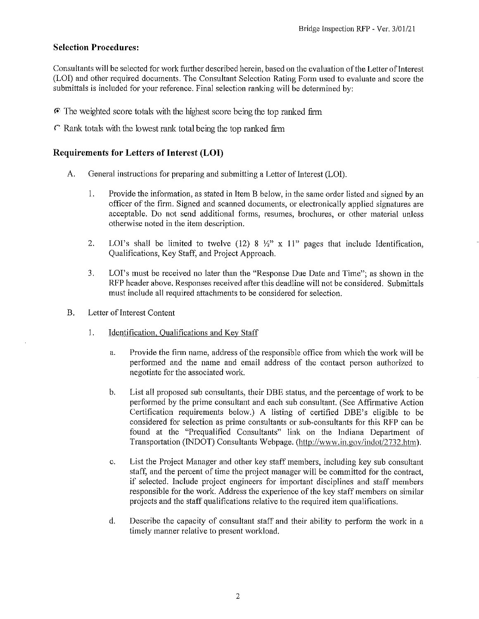### **Selection Procedures:**

Consultants will be selected for work further described herein, based on the evaluation of the Letter of Interest (LOI) and other required documents. The Consultant Selection Rating Form used to evaluate and score the submittals is included for your reference. Final selection ranking will be determined by:

- $\bullet$  The weighted score totals with the highest score being the top ranked firm
- $\Gamma$  Rank totals with the lowest rank total being the top ranked firm

### **Requirements for Letters of Interest (LOI)**

- General instructions for preparing and submitting a Letter of Interest (LOI).  $A<sub>1</sub>$ 
	- $\mathbf{I}$ . Provide the information, as stated in Item B below, in the same order listed and signed by an officer of the firm. Signed and scanned documents, or electronically applied signatures are acceptable. Do not send additional forms, resumes, brochures, or other material unless otherwise noted in the item description.
	- LOI's shall be limited to twelve (12) 8  $\frac{1}{2}$ " x 11" pages that include Identification,  $\overline{2}$ . Qualifications, Key Staff, and Project Approach.
	- $3<sub>1</sub>$ LOI's must be received no later than the "Response Due Date and Time"; as shown in the RFP header above. Responses received after this deadline will not be considered. Submittals must include all required attachments to be considered for selection.
- **B.** Letter of Interest Content
	- $1.$ Identification, Qualifications and Key Staff
		- a. Provide the firm name, address of the responsible office from which the work will be performed and the name and email address of the contact person authorized to negotiate for the associated work.
		- $\mathbf{b}$ . List all proposed sub consultants, their DBE status, and the percentage of work to be performed by the prime consultant and each sub consultant. (See Affirmative Action Certification requirements below.) A listing of certified DBE's eligible to be considered for selection as prime consultants or sub-consultants for this RFP can be found at the "Prequalified Consultants" link on the Indiana Department of Transportation (INDOT) Consultants Webpage. (http://www.in.gov/indot/2732.htm).
		- List the Project Manager and other key staff members, including key sub consultant  $C.$ staff, and the percent of time the project manager will be committed for the contract, if selected. Include project engineers for important disciplines and staff members responsible for the work. Address the experience of the key staff members on similar projects and the staff qualifications relative to the required item qualifications.
		- d. Describe the capacity of consultant staff and their ability to perform the work in a timely manner relative to present workload.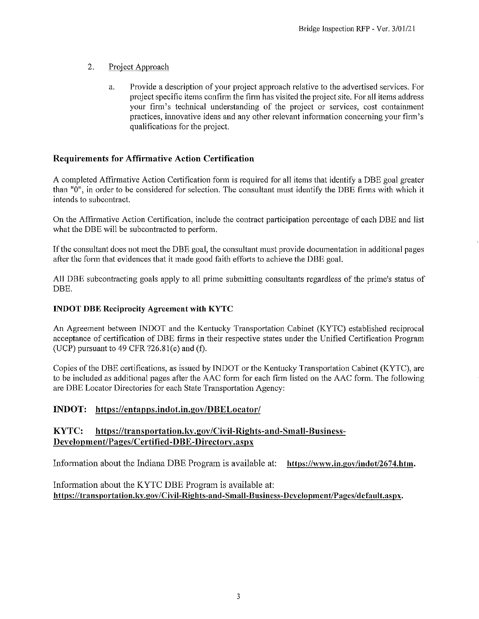- $\overline{2}$ Project Approach
	- Provide a description of your project approach relative to the advertised services. For a. project specific items confirm the firm has visited the project site. For all items address your firm's technical understanding of the project or services, cost containment practices, innovative ideas and any other relevant information concerning your firm's qualifications for the project.

### **Requirements for Affirmative Action Certification**

A completed Affirmative Action Certification form is required for all items that identify a DBE goal greater than "0", in order to be considered for selection. The consultant must identify the DBE firms with which it intends to subcontract.

On the Affirmative Action Certification, include the contract participation percentage of each DBE and list what the DBE will be subcontracted to perform.

If the consultant does not meet the DBE goal, the consultant must provide documentation in additional pages after the form that evidences that it made good faith efforts to achieve the DBE goal.

All DBE subcontracting goals apply to all prime submitting consultants regardless of the prime's status of DBE.

### **INDOT DBE Reciprocity Agreement with KYTC**

An Agreement between INDOT and the Kentucky Transportation Cabinet (KYTC) established reciprocal acceptance of certification of DBE firms in their respective states under the Unified Certification Program (UCP) pursuant to  $49$  CFR  $?26.81(e)$  and (f).

Copies of the DBE certifications, as issued by INDOT or the Kentucky Transportation Cabinet (KYTC), are to be included as additional pages after the AAC form for each firm listed on the AAC form. The following are DBE Locator Directories for each State Transportation Agency:

### INDOT: https://entapps.indot.in.gov/DBELocator/

#### KYTC: https://transportation.ky.gov/Civil-Rights-and-Small-Business-Development/Pages/Certified-DBE-Directory.aspx

Information about the Indiana DBE Program is available at: https://www.in.gov/indot/2674.htm.

Information about the KYTC DBE Program is available at: https://transportation.kv.gov/Civil-Rights-and-Small-Business-Development/Pages/default.aspx.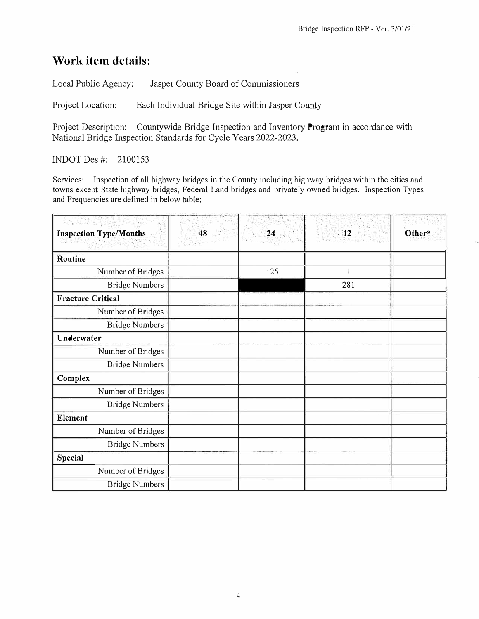## **Work item details:**

Local Public Agency: Jasper County Board of Commissioners

Project Location: Each Individual Bridge Site within Jasper County

Project Description: Countywide Bridge Inspection and Inventory Program in accordance with National Bridge Inspection Standards for Cycle Years 2022-2023.

INDOT Des#: 2100153

Services: Inspection of all highway bridges in the County including highway bridges within the cities and towns except State highway bridges, Federal Land bridges and privately owned bridges. Inspection Types and Frequencies are defined in below table:

| $\sum_{i=1}^n \sum_{j=1}^n \sum_{j=1}^n \sum_{j=1}^n \sum_{j=1}^n \sum_{j=1}^n \sum_{j=1}^n \sum_{j=1}^n \sum_{j=1}^n \sum_{j=1}^n \sum_{j=1}^n \sum_{j=1}^n \sum_{j=1}^n \sum_{j=1}^n \sum_{j=1}^n \sum_{j=1}^n \sum_{j=1}^n \sum_{j=1}^n \sum_{j=1}^n \sum_{j=1}^n \sum_{j=1}^n \sum_{j=1}^n \sum_{j=1}^n \sum_{j=1}^n \sum_{j$ |    |     |                |        |
|-----------------------------------------------------------------------------------------------------------------------------------------------------------------------------------------------------------------------------------------------------------------------------------------------------------------------------------|----|-----|----------------|--------|
| <b>Inspection Type/Months</b>                                                                                                                                                                                                                                                                                                     | 48 | 24  | $\frac{12}{2}$ | Other* |
| Routine                                                                                                                                                                                                                                                                                                                           |    |     |                |        |
| Number of Bridges                                                                                                                                                                                                                                                                                                                 |    | 125 | 1              |        |
| <b>Bridge Numbers</b>                                                                                                                                                                                                                                                                                                             |    |     | 281            |        |
| <b>Fracture Critical</b>                                                                                                                                                                                                                                                                                                          |    |     |                |        |
| Number of Bridges                                                                                                                                                                                                                                                                                                                 |    |     |                |        |
| <b>Bridge Numbers</b>                                                                                                                                                                                                                                                                                                             |    |     |                |        |
| Underwater                                                                                                                                                                                                                                                                                                                        |    |     |                |        |
| Number of Bridges                                                                                                                                                                                                                                                                                                                 |    |     |                |        |
| <b>Bridge Numbers</b>                                                                                                                                                                                                                                                                                                             |    |     |                |        |
| Complex                                                                                                                                                                                                                                                                                                                           |    |     |                |        |
| Number of Bridges                                                                                                                                                                                                                                                                                                                 |    |     |                |        |
| <b>Bridge Numbers</b>                                                                                                                                                                                                                                                                                                             |    |     |                |        |
| <b>Element</b>                                                                                                                                                                                                                                                                                                                    |    |     |                |        |
| Number of Bridges                                                                                                                                                                                                                                                                                                                 |    |     |                |        |
| <b>Bridge Numbers</b>                                                                                                                                                                                                                                                                                                             |    |     |                |        |
| Special                                                                                                                                                                                                                                                                                                                           |    |     |                |        |
| Number of Bridges                                                                                                                                                                                                                                                                                                                 |    |     |                |        |
| <b>Bridge Numbers</b>                                                                                                                                                                                                                                                                                                             |    |     |                |        |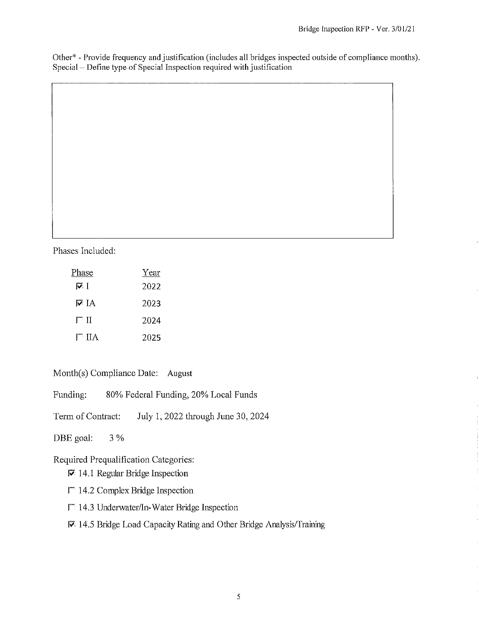Other<sup>\*</sup> - Provide frequency and justification (includes all bridges inspected outside of compliance months). Special – Define type of Special Inspection required with justification

Phases Included:

| Phase                | Year |
|----------------------|------|
| न्त                  | 2022 |
| IV TA                | 2023 |
| $\mathsf{\Gamma}$ ii | 2024 |
| $\Gamma$ IIA         | 2025 |

Month(s) Compliance Date: August

80% Federal Funding, 20% Local Funds Funding:

Term of Contract: July 1, 2022 through June 30, 2024

DBE goal:  $3\%$ 

Required Prequalification Categories:

- $\nabla$  14.1 Regular Bridge Inspection
- $\Gamma$  14.2 Complex Bridge Inspection
- $\Gamma$  14.3 Underwater/In-Water Bridge Inspection
- 14.5 Bridge Load Capacity Rating and Other Bridge Analysis/Training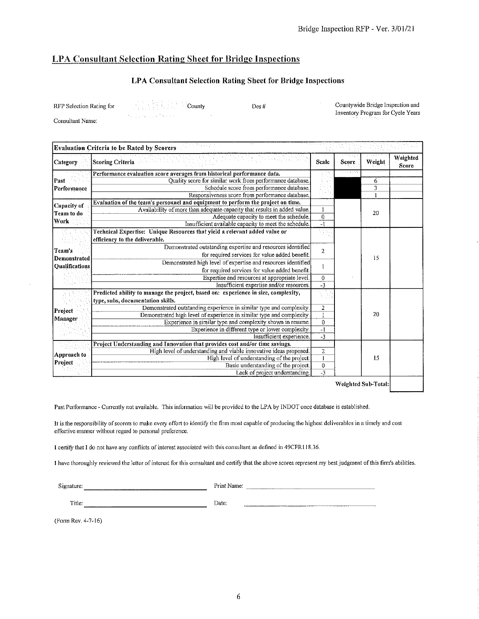### LPA Consultant Selection Rating Sheet for Bridge Inspections

### LPA Consultant Selection Rating Sheet for Bridge Inspections

Des #

RFP Selection Rating for

County

Consultant Name:

Countywide Bridge Inspection and Inventory Program for Cycle Years

| 医无骨折的 医内侧的<br><b>Evaluation Criteria to be Rated by Scorers</b> |                                                                                    |                  |              |        |                   |
|-----------------------------------------------------------------|------------------------------------------------------------------------------------|------------------|--------------|--------|-------------------|
| Category                                                        | <b>Scoring Criteria</b>                                                            | <b>Scale</b>     | <b>Score</b> | Weight | Weighted<br>Score |
|                                                                 | Performance evaluation score averages from historical performance data.            |                  | re espacial  |        |                   |
| Past<br><b>Performance</b>                                      | Quality score for similar work from performance database.                          |                  |              | 6      |                   |
|                                                                 | Schedule score from performance database.                                          |                  |              | 3      |                   |
|                                                                 | Responsiveness score from performance database.                                    |                  |              |        |                   |
| Capacity of                                                     | Evaluation of the team's personnel and equipment to perform the project on time.   |                  |              | 20     |                   |
| Team to do                                                      | Availability of more than adequate capacity that results in added value.           |                  |              |        |                   |
| Work                                                            | Adequate capacity to meet the schedule.                                            | $\boldsymbol{0}$ |              |        |                   |
|                                                                 | Insufficient available capacity to meet the schedule.                              | $-1$             |              |        |                   |
|                                                                 | Technical Expertise: Unique Resources that yield a relevant added value or         |                  |              |        |                   |
|                                                                 | efficiency to the deliverable.                                                     |                  |              |        |                   |
| Team's                                                          | Demonstrated outstanding expertise and resources identified                        | $\overline{2}$   |              |        |                   |
| Demonstrated                                                    | for required services for value added benefit.                                     |                  |              | 15     |                   |
| Oualifications                                                  | Demonstrated high level of expertise and resources identified                      |                  |              |        |                   |
|                                                                 | for required services for value added benefit.                                     |                  |              |        |                   |
|                                                                 | Expertise and resources at appropriate level.                                      | $\theta$         |              |        |                   |
|                                                                 | Insufficient expertise and/or resources.                                           | -3               |              |        |                   |
|                                                                 | Predicted ability to manage the project, based on: experience in size, complexity, | A.               |              |        |                   |
|                                                                 | type, subs, documentation skills.                                                  |                  |              |        |                   |
| Project                                                         | Demonstrated outstanding experience in similar type and complexity.                | $\boldsymbol{2}$ |              |        |                   |
|                                                                 | Demonstrated high level of experience in similar type and complexity.              | $\mathbf{I}$     |              | 20     |                   |
| Manager                                                         | Experience in similar type and complexity shown in resume.                         | $\overline{0}$   |              |        |                   |
|                                                                 | Experience in different type or lower complexity.                                  | $\overline{-1}$  |              |        |                   |
|                                                                 | Insufficient experience,                                                           | $-3$             |              |        |                   |
| Approach to<br>Project                                          | Project Understanding and Innovation that provides cost and/or time savings.       |                  |              |        |                   |
|                                                                 | High level of understanding and viable innovative ideas proposed.                  | $\overline{a}$   |              |        |                   |
|                                                                 | High level of understanding of the project.                                        | $\mathbf{1}$     |              | 15     |                   |
|                                                                 | Basic understanding of the project.                                                | $\bf{0}$         |              |        |                   |
|                                                                 | Lack of project understanding,                                                     | $-3$             |              |        |                   |
|                                                                 |                                                                                    |                  |              |        |                   |

Weighted Sub-Total:

Past Performance - Currently not available. This information will be provided to the LPA by INDOT once database is established.

It is the responsibility of scorers to make every effort to identify the firm most capable of producing the highest deliverables in a timely and cost effective manner without regard to personal preference.

I certify that I do not have any conflicts of interest associated with this consultant as defined in 49CFR118,36.

I have thoroughly reviewed the letter of interest for this consultant and certify that the above scores represent my best judgment of this firm's abilities.

Signature:

Print Name:

Title:

Date:

(Form Rev. 4-7-16)